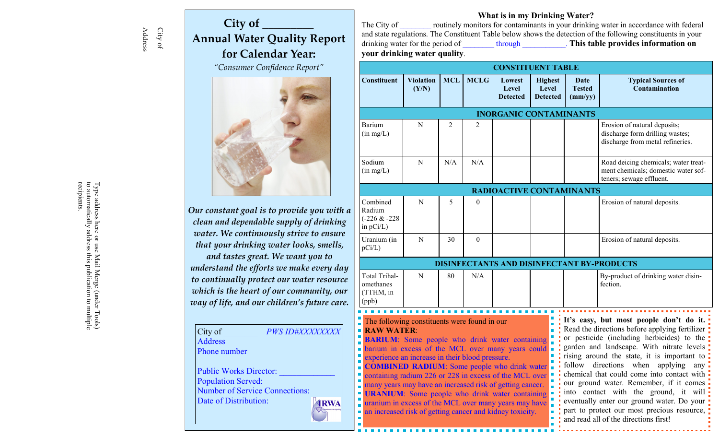Address City of

# **City of \_\_\_\_\_\_\_\_\_ Annual Water Quality Report for Calendar Year:**

*"Consumer Confidence Report"*



*Our constant goal is to provide you with a clean and dependable supply of drinking water. We continuously strive to ensure that your drinking water looks, smells, and tastes great. We want you to understand the efforts we make every day to continually protect our water resource which is the heart of our community, our way of life, and our children's future care.*

| City of                               | <b>PWS ID#XXXXXXXX</b> |
|---------------------------------------|------------------------|
| <b>Address</b>                        |                        |
| Phone number                          |                        |
|                                       |                        |
| <b>Public Works Director:</b>         |                        |
| <b>Population Served:</b>             |                        |
| <b>Number of Service Connections:</b> |                        |
| Date of Distribution:                 |                        |
|                                       |                        |

## **What is in my Drinking Water?**

The City of continely monitors for contaminants in your drinking water in accordance with federal and state regulations. The Constituent Table below shows the detection of the following constituents in your drinking water for the period of **through heating** *n* **heating** *n n n n n n n n n n n n n n n n n n n n n n n n n n* **your drinking water quality**.

| <b>CONSTITUENT TABLE</b>                                                                                                                                                                                                                                                                                                                                                                                                                                                                                                                                                                                                                                                                                                                                                                                                                                                                                                                                                                                                                                                                                                                                                                                                |                           |            |             |                                    |                                            |                                         |                                                                                                         |  |  |
|-------------------------------------------------------------------------------------------------------------------------------------------------------------------------------------------------------------------------------------------------------------------------------------------------------------------------------------------------------------------------------------------------------------------------------------------------------------------------------------------------------------------------------------------------------------------------------------------------------------------------------------------------------------------------------------------------------------------------------------------------------------------------------------------------------------------------------------------------------------------------------------------------------------------------------------------------------------------------------------------------------------------------------------------------------------------------------------------------------------------------------------------------------------------------------------------------------------------------|---------------------------|------------|-------------|------------------------------------|--------------------------------------------|-----------------------------------------|---------------------------------------------------------------------------------------------------------|--|--|
| <b>Constituent</b>                                                                                                                                                                                                                                                                                                                                                                                                                                                                                                                                                                                                                                                                                                                                                                                                                                                                                                                                                                                                                                                                                                                                                                                                      | <b>Violation</b><br>(Y/N) | <b>MCL</b> | <b>MCLG</b> | Lowest<br>Level<br><b>Detected</b> | <b>Highest</b><br>Level<br><b>Detected</b> | <b>Date</b><br><b>Tested</b><br>(mm/yy) | <b>Typical Sources of</b><br>Contamination                                                              |  |  |
| <b>INORGANIC CONTAMINANTS</b>                                                                                                                                                                                                                                                                                                                                                                                                                                                                                                                                                                                                                                                                                                                                                                                                                                                                                                                                                                                                                                                                                                                                                                                           |                           |            |             |                                    |                                            |                                         |                                                                                                         |  |  |
| Barium<br>(in mg/L)                                                                                                                                                                                                                                                                                                                                                                                                                                                                                                                                                                                                                                                                                                                                                                                                                                                                                                                                                                                                                                                                                                                                                                                                     | N                         | 2          | 2           |                                    |                                            |                                         | Erosion of natural deposits;<br>discharge form drilling wastes;<br>discharge from metal refineries.     |  |  |
| Sodium<br>(in mg/L)                                                                                                                                                                                                                                                                                                                                                                                                                                                                                                                                                                                                                                                                                                                                                                                                                                                                                                                                                                                                                                                                                                                                                                                                     | N                         | N/A        | N/A         |                                    |                                            |                                         | Road deicing chemicals; water treat-<br>ment chemicals; domestic water sof-<br>teners; sewage effluent. |  |  |
| RADIOACTIVE CONTAMINANTS                                                                                                                                                                                                                                                                                                                                                                                                                                                                                                                                                                                                                                                                                                                                                                                                                                                                                                                                                                                                                                                                                                                                                                                                |                           |            |             |                                    |                                            |                                         |                                                                                                         |  |  |
| Combined<br>Radium<br>$(-226 & -228)$<br>in pCi/L)                                                                                                                                                                                                                                                                                                                                                                                                                                                                                                                                                                                                                                                                                                                                                                                                                                                                                                                                                                                                                                                                                                                                                                      | N                         | 5          | $\theta$    |                                    |                                            |                                         | Erosion of natural deposits.                                                                            |  |  |
| Uranium (in<br>pCi/L)                                                                                                                                                                                                                                                                                                                                                                                                                                                                                                                                                                                                                                                                                                                                                                                                                                                                                                                                                                                                                                                                                                                                                                                                   | N                         | 30         | $\theta$    |                                    |                                            |                                         | Erosion of natural deposits.                                                                            |  |  |
| <b>DISINFECTANTS AND DISINFECTANT BY-PRODUCTS</b>                                                                                                                                                                                                                                                                                                                                                                                                                                                                                                                                                                                                                                                                                                                                                                                                                                                                                                                                                                                                                                                                                                                                                                       |                           |            |             |                                    |                                            |                                         |                                                                                                         |  |  |
| Total Trihal-<br>omethanes<br>(TTHM, in<br>(ppb)                                                                                                                                                                                                                                                                                                                                                                                                                                                                                                                                                                                                                                                                                                                                                                                                                                                                                                                                                                                                                                                                                                                                                                        | N                         | 80         | N/A         |                                    |                                            |                                         | By-product of drinking water disin-<br>fection.                                                         |  |  |
| It's easy, but most people don't do it.<br>The following constituents were found in our<br>Read the directions before applying fertilizer<br><b>RAW WATER:</b><br>or pesticide (including herbicides) to the<br><b>BARIUM:</b> Some people who drink water containing<br>Ė<br>garden and landscape. With nitrate levels<br>barium in excess of the MCL over many years could<br>ä,<br>rising around the state, it is important to<br>Ĩ.<br>experience an increase in their blood pressure.<br>ń<br>directions when<br>applying<br>follow<br>any<br><b>COMBINED RADIUM:</b> Some people who drink water<br>ú.<br>chemical that could come into contact with<br>Ė<br>containing radium 226 or 228 in excess of the MCL over<br>ä<br>our ground water. Remember, if it comes<br>many years may have an increased risk of getting cancer.<br>Ė<br>into contact with the ground, it will<br>Ė<br><b>URANIUM:</b> Some people who drink water containing<br>ń<br>eventually enter our ground water. Do your<br>uranium in excess of the MCL over many years may have<br>part to protect our most precious resource,<br>an increased risk of getting cancer and kidney toxicity.<br>E<br>and read all of the directions first! |                           |            |             |                                    |                                            |                                         |                                                                                                         |  |  |